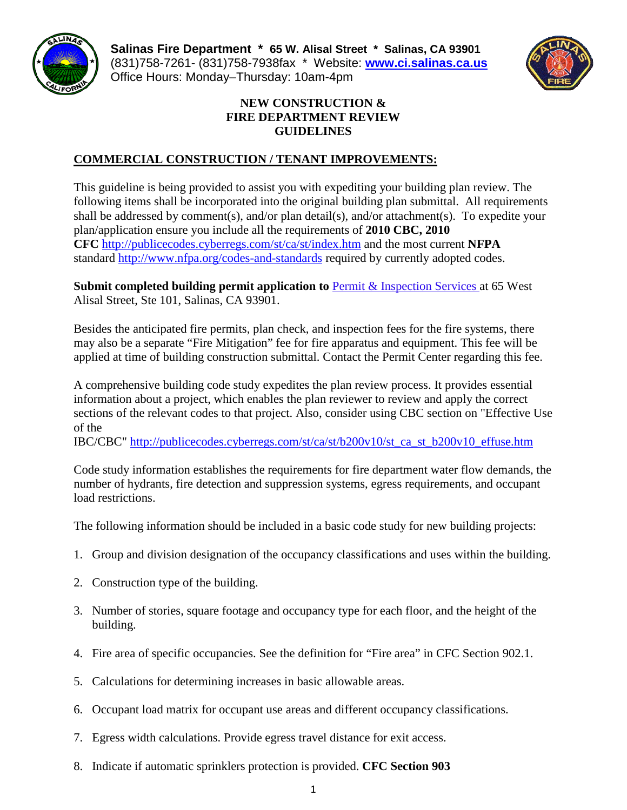

**Salinas Fire Department \* 65 W. Alisal Street \* Salinas, CA 93901** (831)758-7261- (831)758-7938fax \* Website: **[www.ci.salinas.ca.us](http://www.ci.salinas.ca.us/index.cfm)** Office Hours: Monday–Thursday: 10am-4pm



# **NEW CONSTRUCTION & FIRE DEPARTMENT REVIEW GUIDELINES**

# **COMMERCIAL CONSTRUCTION / TENANT IMPROVEMENTS:**

This guideline is being provided to assist you with expediting your building plan review. The following items shall be incorporated into the original building plan submittal. All requirements shall be addressed by comment(s), and/or plan detail(s), and/or attachment(s). To expedite your plan/application ensure you include all the requirements of **2010 CBC, 2010 CFC** <http://publicecodes.cyberregs.com/st/ca/st/index.htm> and the most current **NFPA** standard<http://www.nfpa.org/codes-and-standards> required by currently adopted codes.

**Submit completed building permit application to [Permit & Inspection Services](http://www.ci.salinas.ca.us/services/engineering/planning/permit_forms.cfm) at 65 West** Alisal Street, Ste 101, Salinas, CA 93901.

Besides the anticipated fire permits, plan check, and inspection fees for the fire systems, there may also be a separate "Fire Mitigation" fee for fire apparatus and equipment. This fee will be applied at time of building construction submittal. Contact the Permit Center regarding this fee.

A comprehensive building code study expedites the plan review process. It provides essential information about a project, which enables the plan reviewer to review and apply the correct sections of the relevant codes to that project. Also, consider using CBC section on "Effective Use of the

IBC/CBC" [http://publicecodes.cyberregs.com/st/ca/st/b200v10/st\\_ca\\_st\\_b200v10\\_effuse.htm](http://publicecodes.cyberregs.com/st/ca/st/b200v10/st_ca_st_b200v10_effuse.htm)

Code study information establishes the requirements for fire department water flow demands, the number of hydrants, fire detection and suppression systems, egress requirements, and occupant load restrictions.

The following information should be included in a basic code study for new building projects:

- 1. Group and division designation of the occupancy classifications and uses within the building.
- 2. Construction type of the building.
- 3. Number of stories, square footage and occupancy type for each floor, and the height of the building.
- 4. Fire area of specific occupancies. See the definition for "Fire area" in CFC Section 902.1.
- 5. Calculations for determining increases in basic allowable areas.
- 6. Occupant load matrix for occupant use areas and different occupancy classifications.
- 7. Egress width calculations. Provide egress travel distance for exit access.
- 8. Indicate if automatic sprinklers protection is provided. **CFC Section 903**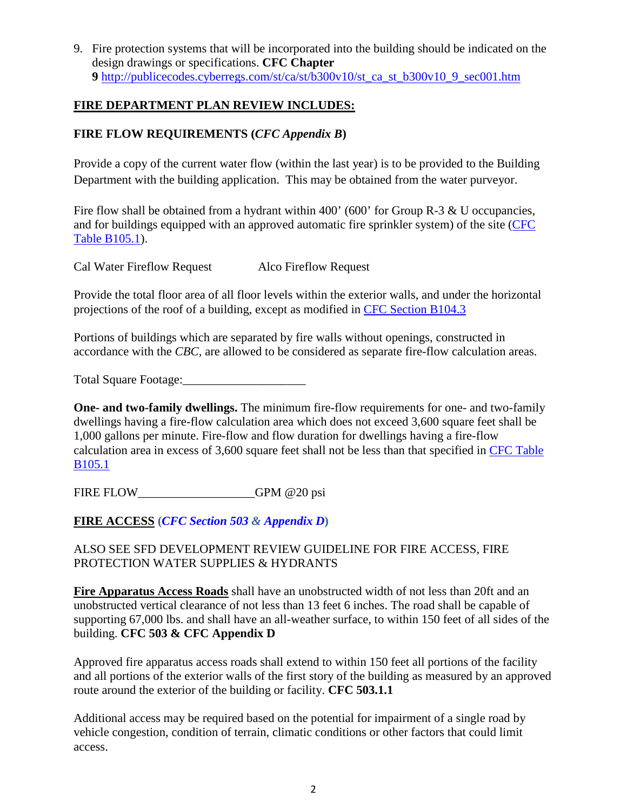9. Fire protection systems that will be incorporated into the building should be indicated on the design drawings or specifications. **CFC Chapter 9** [http://publicecodes.cyberregs.com/st/ca/st/b300v10/st\\_ca\\_st\\_b300v10\\_9\\_sec001.htm](http://publicecodes.cyberregs.com/st/ca/st/b300v10/st_ca_st_b300v10_9_sec001.htm)

## **FIRE DEPARTMENT PLAN REVIEW INCLUDES:**

# **FIRE FLOW REQUIREMENTS (***CFC Appendix B***)**

Provide a copy of the current water flow (within the last year) is to be provided to the Building Department with the building application. This may be obtained from the water purveyor.

Fire flow shall be obtained from a hydrant within 400' (600' for Group R-3 & U occupancies, and for buildings equipped with an approved automatic fire sprinkler system) of the site (CFC [Table B105.1\)](http://publicecodes.cyberregs.com/st/ca/st/b300v10/st_ca_st_b300v10_appb_sec005.htm).

Cal Water Fireflow Request Alco Fireflow Request

Provide the total floor area of all floor levels within the exterior walls, and under the horizontal projections of the roof of a building, except as modified in [CFC Section B104.3](http://publicecodes.cyberregs.com/st/ca/st/b300v10/st_ca_st_b300v10_appb_par010.htm)

Portions of buildings which are separated by fire walls without openings, constructed in accordance with the *CBC,* are allowed to be considered as separate fire-flow calculation areas.

Total Square Footage:

**One- and two-family dwellings.** The minimum fire-flow requirements for one- and two-family dwellings having a fire-flow calculation area which does not exceed 3,600 square feet shall be 1,000 gallons per minute. Fire-flow and flow duration for dwellings having a fire-flow calculation area in excess of 3,600 square feet shall not be less than that specified in [CFC Table](http://publicecodes.cyberregs.com/st/ca/st/b300v10/st_ca_st_b300v10_appb_sec005.htm)  [B105.1](http://publicecodes.cyberregs.com/st/ca/st/b300v10/st_ca_st_b300v10_appb_sec005.htm)

FIRE FLOW GPM @20 psi

**FIRE ACCESS (***[CFC Section 503](http://publicecodes.cyberregs.com/st/ca/st/b300v10/st_ca_st_b300v10_5_sec003.htm) & [Appendix D](http://publicecodes.cyberregs.com/st/ca/st/b300v10/st_ca_st_b300v10_appd_sec001.htm)***)**

ALSO SEE SFD DEVELOPMENT REVIEW GUIDELINE FOR FIRE ACCESS, FIRE PROTECTION WATER SUPPLIES & HYDRANTS

**Fire Apparatus Access Roads** shall have an unobstructed width of not less than 20ft and an unobstructed vertical clearance of not less than 13 feet 6 inches. The road shall be capable of supporting 67,000 lbs. and shall have an all-weather surface, to within 150 feet of all sides of the building. **CFC 503 & CFC Appendix D**

Approved fire apparatus access roads shall extend to within 150 feet all portions of the facility and all portions of the exterior walls of the first story of the building as measured by an approved route around the exterior of the building or facility. **CFC 503.1.1**

Additional access may be required based on the potential for impairment of a single road by vehicle congestion, condition of terrain, climatic conditions or other factors that could limit access.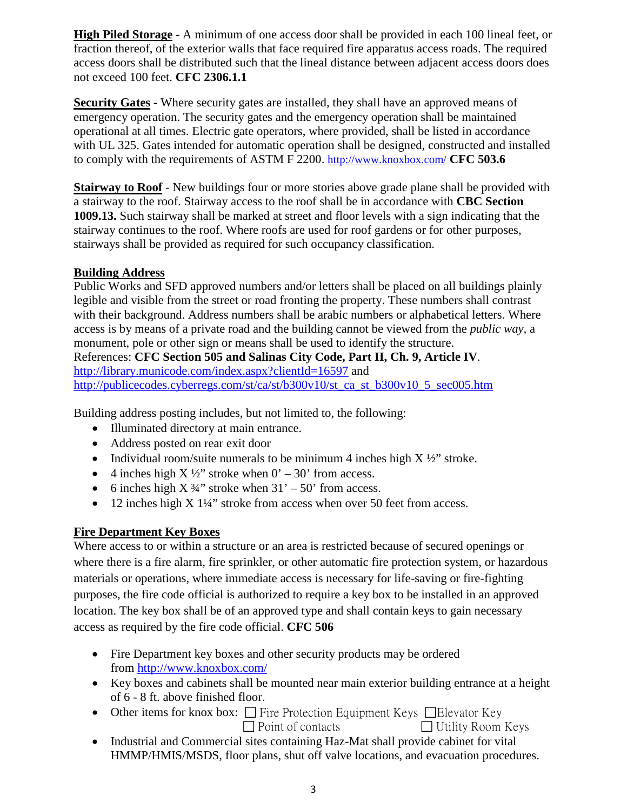**High Piled Storage** - A minimum of one access door shall be provided in each 100 lineal feet, or fraction thereof, of the exterior walls that face required fire apparatus access roads. The required access doors shall be distributed such that the lineal distance between adjacent access doors does not exceed 100 feet. **CFC 2306.1.1**

**Security Gates -** Where security gates are installed, they shall have an approved means of emergency operation. The security gates and the emergency operation shall be maintained operational at all times. Electric gate operators, where provided, shall be listed in accordance with UL 325. Gates intended for automatic operation shall be designed, constructed and installed to comply with the requirements of ASTM F 2200.<http://www.knoxbox.com/> **CFC 503.6**

**Stairway to Roof** - New buildings four or more stories above grade plane shall be provided with a stairway to the roof. Stairway access to the roof shall be in accordance with **CBC [Section](javascript:Next()  [1009.13.](javascript:Next()** Such stairway shall be marked at street and floor levels with a sign indicating that the stairway continues to the roof. Where roofs are used for roof gardens or for other purposes, stairways shall be provided as required for such occupancy classification.

### **Building Address**

Public Works and SFD approved numbers and/or letters shall be placed on all buildings plainly legible and visible from the street or road fronting the property. These numbers shall contrast with their background. Address numbers shall be arabic numbers or alphabetical letters. Where access is by means of a private road and the building cannot be viewed from the *public way,* a monument, pole or other sign or means shall be used to identify the structure. References: **CFC Section 505 and Salinas City Code, Part II, Ch. 9, Article IV**. [http://library.municode.com/index.aspx?clientId=16597](http://library.municode.com/index.aspx?clientId=16597%20) and [http://publicecodes.cyberregs.com/st/ca/st/b300v10/st\\_ca\\_st\\_b300v10\\_5\\_sec005.htm](http://publicecodes.cyberregs.com/st/ca/st/b300v10/st_ca_st_b300v10_5_sec005.htm)

Building address posting includes, but not limited to, the following:

- Illuminated directory at main entrance.
- Address posted on rear exit door
- Individual room/suite numerals to be minimum 4 inches high  $X \frac{1}{2}$  stroke.
- 4 inches high  $X \frac{1}{2}$  stroke when  $0' 30'$  from access.
- 6 inches high  $X \frac{3}{4}$ " stroke when  $31' 50'$  from access.
- 12 inches high X 1¼" stroke from access when over 50 feet from access.

#### **Fire Department Key Boxes**

Where access to or within a structure or an area is restricted because of secured openings or where there is a fire alarm, fire sprinkler, or other automatic fire protection system, or hazardous materials or operations, where immediate access is necessary for life-saving or fire-fighting purposes, the fire code official is authorized to require a key box to be installed in an approved location. The key box shall be of an approved type and shall contain keys to gain necessary access as required by the fire code official. **CFC 506**

- Fire Department key boxes and other security products may be ordered from<http://www.knoxbox.com/>
- Key boxes and cabinets shall be mounted near main exterior building entrance at a height of 6 - 8 ft. above finished floor.
- Other items for knox box:  $\Box$  Fire Protection Equipment Keys  $\Box$  Elevator Key  $\Box$  Point of contacts  $\Box$  Utility Room Keys
- Industrial and Commercial sites containing Haz-Mat shall provide cabinet for vital HMMP/HMIS/MSDS, floor plans, shut off valve locations, and evacuation procedures.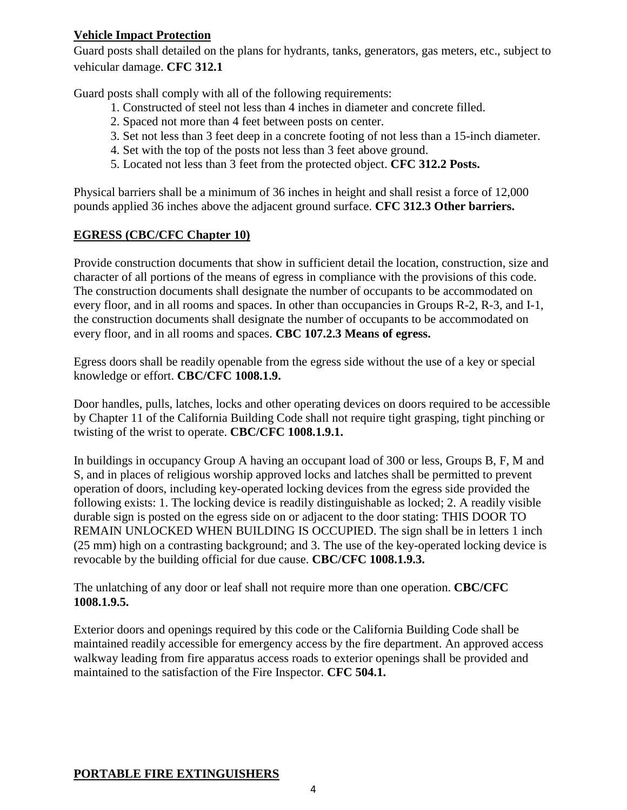# **Vehicle Impact Protection**

Guard posts shall detailed on the plans for hydrants, tanks, generators, gas meters, etc., subject to vehicular damage. **CFC 312.1**

Guard posts shall comply with all of the following requirements:

- 1. Constructed of steel not less than 4 inches in diameter and concrete filled.
- 2. Spaced not more than 4 feet between posts on center.
- 3. Set not less than 3 feet deep in a concrete footing of not less than a 15-inch diameter.
- 4. Set with the top of the posts not less than 3 feet above ground.
- 5. Located not less than 3 feet from the protected object. **CFC 312.2 Posts.**

Physical barriers shall be a minimum of 36 inches in height and shall resist a force of 12,000 pounds applied 36 inches above the adjacent ground surface. **CFC 312.3 Other barriers.**

# **EGRESS (CBC/CFC Chapter 10)**

Provide construction documents that show in sufficient detail the location, construction, size and character of all portions of the means of egress in compliance with the provisions of this code. The construction documents shall designate the number of occupants to be accommodated on every floor, and in all rooms and spaces. In other than occupancies in Groups R-2, R-3, and I-1, the construction documents shall designate the number of occupants to be accommodated on every floor, and in all rooms and spaces. **CBC 107.2.3 Means of egress.**

Egress doors shall be readily openable from the egress side without the use of a key or special knowledge or effort. **CBC/CFC 1008.1.9.**

Door handles, pulls, latches, locks and other operating devices on doors required to be accessible by Chapter 11 of the California Building Code shall not require tight grasping, tight pinching or twisting of the wrist to operate. **CBC/CFC 1008.1.9.1.**

In buildings in occupancy Group A having an occupant load of 300 or less, Groups B, F, M and S, and in places of religious worship approved locks and latches shall be permitted to prevent operation of doors, including key-operated locking devices from the egress side provided the following exists: 1. The locking device is readily distinguishable as locked; 2. A readily visible durable sign is posted on the egress side on or adjacent to the door stating: THIS DOOR TO REMAIN UNLOCKED WHEN BUILDING IS OCCUPIED. The sign shall be in letters 1 inch (25 mm) high on a contrasting background; and 3. The use of the key-operated locking device is revocable by the building official for due cause. **CBC/CFC 1008.1.9.3.**

The unlatching of any door or leaf shall not require more than one operation. **CBC/CFC 1008.1.9.5.**

Exterior doors and openings required by this code or the California Building Code shall be maintained readily accessible for emergency access by the fire department. An approved access walkway leading from fire apparatus access roads to exterior openings shall be provided and maintained to the satisfaction of the Fire Inspector. **CFC 504.1.** 

# **PORTABLE FIRE EXTINGUISHERS**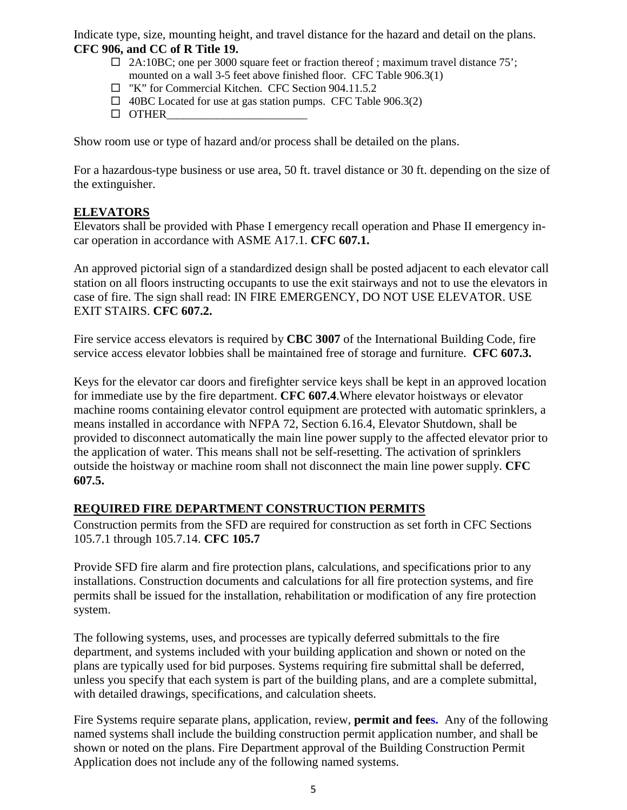Indicate type, size, mounting height, and travel distance for the hazard and detail on the plans. **CFC 906, and CC of R Title 19.**

- $\Box$  2A:10BC; one per 3000 square feet or fraction thereof; maximum travel distance 75'; mounted on a wall 3-5 feet above finished floor. CFC Table 906.3(1)
- "K" for Commercial Kitchen. CFC Section 904.11.5.2
- $\Box$  40BC Located for use at gas station pumps. CFC Table 906.3(2)
- $\Box$  OTHER

Show room use or type of hazard and/or process shall be detailed on the plans.

For a hazardous-type business or use area, 50 ft. travel distance or 30 ft. depending on the size of the extinguisher.

### **ELEVATORS**

Elevators shall be provided with Phase I emergency recall operation and Phase II emergency incar operation in accordance with ASME A17.1. **CFC 607.1.**

An approved pictorial sign of a standardized design shall be posted adjacent to each elevator call station on all floors instructing occupants to use the exit stairways and not to use the elevators in case of fire. The sign shall read: IN FIRE EMERGENCY, DO NOT USE ELEVATOR. USE EXIT STAIRS. **CFC 607.2.**

Fire service access elevators is required by **CBC 3007** of the International Building Code, fire service access elevator lobbies shall be maintained free of storage and furniture. **CFC 607.3.**

Keys for the elevator car doors and firefighter service keys shall be kept in an approved location for immediate use by the fire department. **CFC 607.4**.Where elevator hoistways or elevator machine rooms containing elevator control equipment are protected with automatic sprinklers, a means installed in accordance with NFPA 72, Section 6.16.4, Elevator Shutdown, shall be provided to disconnect automatically the main line power supply to the affected elevator prior to the application of water. This means shall not be self-resetting. The activation of sprinklers outside the hoistway or machine room shall not disconnect the main line power supply. **CFC 607.5.**

### **REQUIRED FIRE DEPARTMENT CONSTRUCTION PERMITS**

Construction permits from the SFD are required for construction as set forth in CFC Sections 105.7.1 through 105.7.14. **CFC 105.7** 

Provide SFD fire alarm and fire protection plans, calculations, and specifications prior to any installations. Construction documents and calculations for all fire protection systems, and fire permits shall be issued for the installation, rehabilitation or modification of any fire protection system.

The following systems, uses, and processes are typically deferred submittals to the fire department, and systems included with your building application and shown or noted on the plans are typically used for bid purposes. Systems requiring fire submittal shall be deferred, unless you specify that each system is part of the building plans, and are a complete submittal, with detailed drawings, specifications, and calculation sheets.

Fire Systems require separate plans, application, review, **permit and fees.** Any of the following named systems shall include the building construction permit application number, and shall be shown or noted on the plans. Fire Department approval of the Building Construction Permit Application does not include any of the following named systems.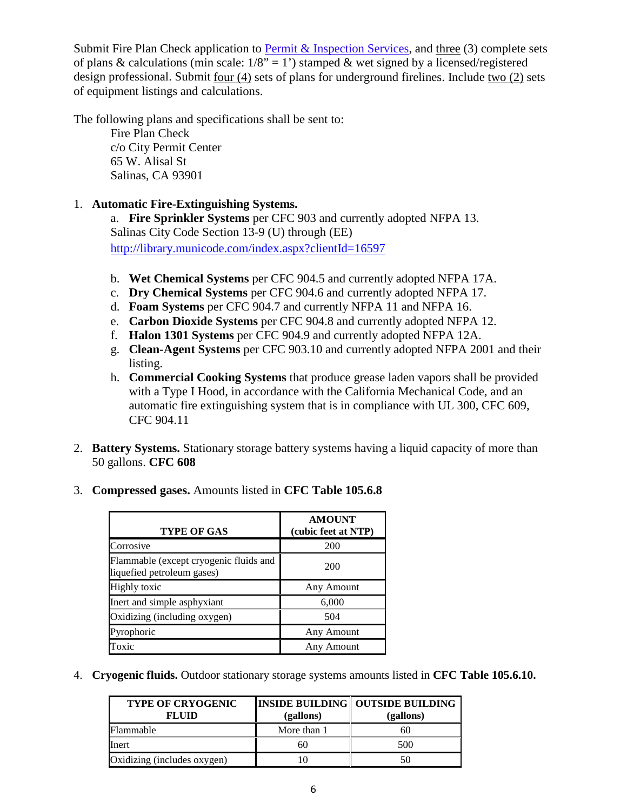Submit Fire Plan Check application to **Permit & Inspection Services**, and three  $(3)$  complete sets of plans & calculations (min scale:  $1/8$ " = 1') stamped & wet signed by a licensed/registered design professional. Submit four (4) sets of plans for underground firelines. Include two (2) sets of equipment listings and calculations.

The following plans and specifications shall be sent to:

Fire Plan Check c/o City Permit Center 65 W. Alisal St Salinas, CA 93901

### 1. **Automatic Fire-Extinguishing Systems.**

a. **Fire Sprinkler Systems** per CFC 903 and currently adopted NFPA 13. Salinas City Code Section 13-9 (U) through (EE) <http://library.municode.com/index.aspx?clientId=16597>

- b. **Wet Chemical Systems** per CFC 904.5 and currently adopted NFPA 17A.
- c. **Dry Chemical Systems** per CFC 904.6 and currently adopted NFPA 17.
- d. **Foam Systems** per CFC 904.7 and currently NFPA 11 and NFPA 16.
- e. **Carbon Dioxide Systems** per CFC 904.8 and currently adopted NFPA 12.
- f. **Halon 1301 Systems** per CFC 904.9 and currently adopted NFPA 12A.
- g. **Clean-Agent Systems** per CFC 903.10 and currently adopted NFPA 2001 and their listing.
- h. **Commercial Cooking Systems** that produce grease laden vapors shall be provided with a Type I Hood, in accordance with the California Mechanical Code, and an automatic fire extinguishing system that is in compliance with UL 300, CFC 609, CFC 904.11
- 2. **Battery Systems.** Stationary storage battery systems having a liquid capacity of more than 50 gallons. **CFC 608**
- 3. **Compressed gases.** Amounts listed in **CFC Table 105.6.8**

| <b>TYPE OF GAS</b>                                                   | <b>AMOUNT</b><br>(cubic feet at NTP) |
|----------------------------------------------------------------------|--------------------------------------|
| Corrosive                                                            | 200                                  |
| Flammable (except cryogenic fluids and<br>liquefied petroleum gases) | 200                                  |
| <b>Highly</b> toxic                                                  | Any Amount                           |
| Inert and simple asphyxiant                                          | 6,000                                |
| Oxidizing (including oxygen)                                         | 504                                  |
| Pyrophoric                                                           | Any Amount                           |
| Toxic                                                                | Any Amount                           |

4. **Cryogenic fluids.** Outdoor stationary storage systems amounts listed in **CFC Table 105.6.10.**

| <b>TYPE OF CRYOGENIC</b><br><b>FLUID</b> | (gallons)   | <b>INSIDE BUILDING   OUTSIDE BUILDING</b><br>(gallons) |
|------------------------------------------|-------------|--------------------------------------------------------|
| Flammable                                | More than 1 | 60                                                     |
| Inert                                    | 60          | 500                                                    |
| Oxidizing (includes oxygen)              |             | 50                                                     |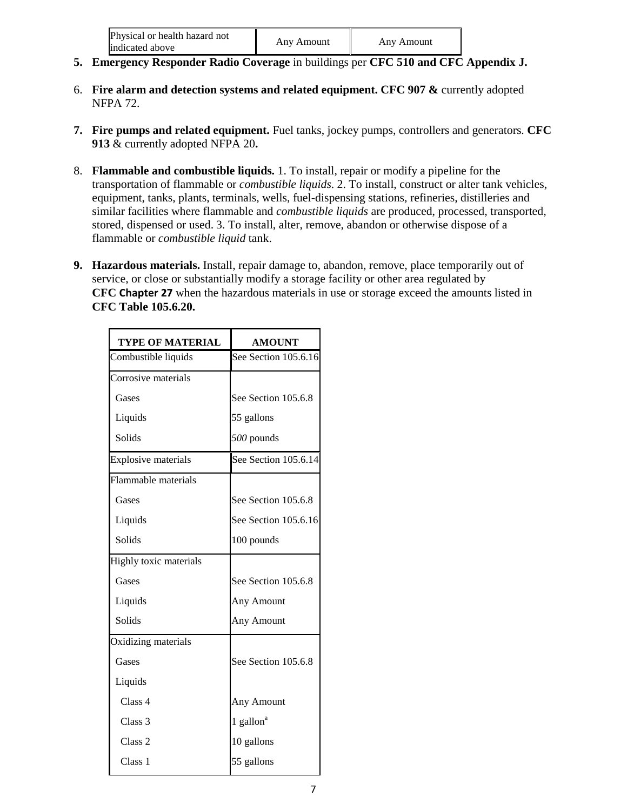| Physical or health hazard not<br>indicated above | Any Amount | Any Amount |
|--------------------------------------------------|------------|------------|
|                                                  |            |            |

- **5. Emergency Responder Radio Coverage** in buildings per **CFC 510 and CFC Appendix J.**
- 6. **Fire alarm and detection systems and related equipment. CFC 907 &** currently adopted NFPA 72.
- **7. Fire pumps and related equipment.** Fuel tanks, jockey pumps, controllers and generators. **CFC 913** & currently adopted NFPA 20**.**
- 8. **Flammable and combustible liquids.** 1. To install, repair or modify a pipeline for the transportation of flammable or *combustible liquids*. 2. To install, construct or alter tank vehicles, equipment, tanks, plants, terminals, wells, fuel-dispensing stations, refineries, distilleries and similar facilities where flammable and *combustible liquids* are produced, processed, transported, stored, dispensed or used. 3. To install, alter, remove, abandon or otherwise dispose of a flammable or *combustible liquid* tank.
- **9. Hazardous materials.** Install, repair damage to, abandon, remove, place temporarily out of service, or close or substantially modify a storage facility or other area regulated by **CFC [Chapter 27](javascript:Next()** when the hazardous materials in use or storage exceed the amounts listed in **CFC Table 105.6.20.**

| <b>TYPE OF MATERIAL</b>    | <b>AMOUNT</b>         |
|----------------------------|-----------------------|
| Combustible liquids        | See Section 105.6.16  |
| Corrosive materials        |                       |
| Gases                      | See Section 105.6.8   |
| Liquids                    | 55 gallons            |
| Solids                     | 500 pounds            |
| <b>Explosive materials</b> | See Section 105.6.14  |
| Flammable materials        |                       |
| Gases                      | See Section 105.6.8   |
| Liquids                    | See Section 105.6.16  |
| Solids                     | 100 pounds            |
| Highly toxic materials     |                       |
| Gases                      | See Section 105.6.8   |
| Liquids                    | Any Amount            |
| Solids                     | Any Amount            |
| Oxidizing materials        |                       |
| Gases                      | See Section 105.6.8   |
| Liquids                    |                       |
| Class 4                    | Any Amount            |
| Class <sub>3</sub>         | 1 gallon <sup>a</sup> |
| Class <sub>2</sub>         | 10 gallons            |
| Class 1                    | 55 gallons            |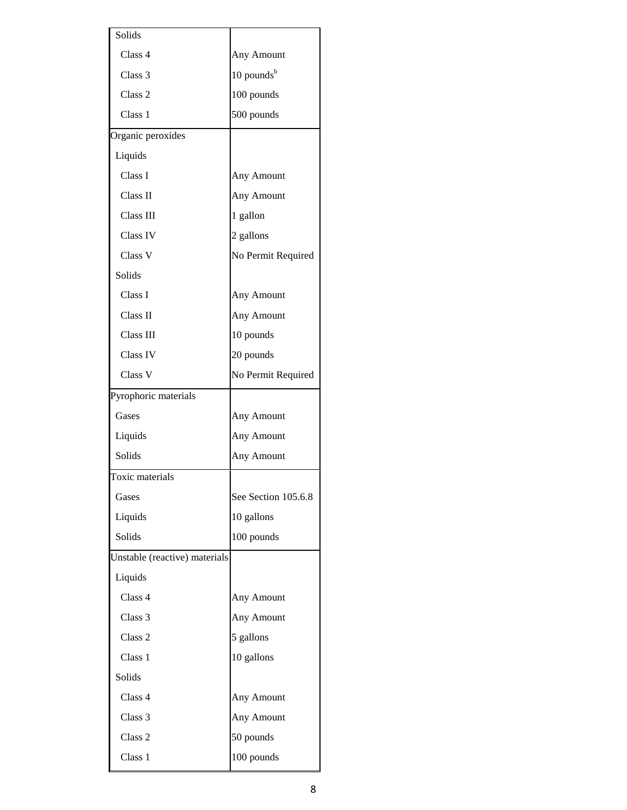| Solids                        |                     |
|-------------------------------|---------------------|
| Class 4                       | Any Amount          |
| Class 3                       | 10 pounds $b$       |
| Class 2                       | 100 pounds          |
| Class 1                       | 500 pounds          |
| Organic peroxides             |                     |
| Liquids                       |                     |
| Class I                       | Any Amount          |
| Class <sub>II</sub>           | Any Amount          |
| Class III                     | 1 gallon            |
| <b>Class IV</b>               | 2 gallons           |
| Class V                       | No Permit Required  |
| Solids                        |                     |
| Class I                       | Any Amount          |
| Class II                      | Any Amount          |
| Class III                     | 10 pounds           |
| Class IV                      | 20 pounds           |
| Class V                       | No Permit Required  |
| Pyrophoric materials          |                     |
| Gases                         | Any Amount          |
| Liquids                       | Any Amount          |
| Solids                        |                     |
|                               | Any Amount          |
| Toxic materials               |                     |
| Gases                         | See Section 105.6.8 |
| Liquids                       | 10 gallons          |
| Solids                        | 100 pounds          |
| Unstable (reactive) materials |                     |
| Liquids                       |                     |
| Class 4                       | Any Amount          |
| Class 3                       | Any Amount          |
| Class 2                       | 5 gallons           |
| Class 1                       | 10 gallons          |
| Solids                        |                     |
| Class 4                       | Any Amount          |
| Class 3                       | Any Amount          |
| Class 2                       | 50 pounds           |
| Class 1                       | 100 pounds          |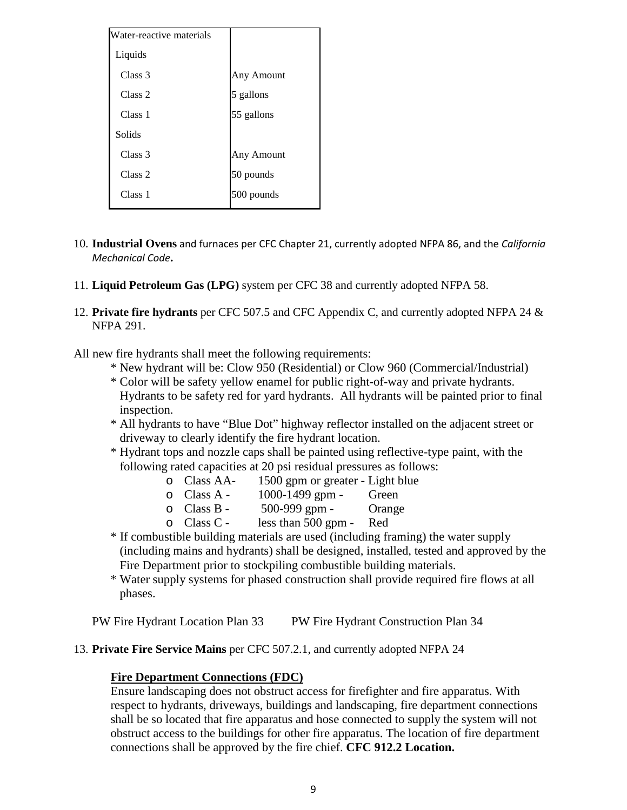| Water-reactive materials |            |
|--------------------------|------------|
| Liquids                  |            |
| Class 3                  | Any Amount |
| Class 2                  | 5 gallons  |
| Class 1                  | 55 gallons |
| Solids                   |            |
| Class 3                  | Any Amount |
| Class 2                  | 50 pounds  |
| Class 1                  | 500 pounds |

- 10. **Industrial Ovens** and furnaces per CFC Chapter 21, currently adopted NFPA 86, and the *California Mechanical Code***.**
- 11. **Liquid Petroleum Gas (LPG)** system per CFC 38 and currently adopted NFPA 58.
- 12. **Private fire hydrants** per CFC 507.5 and CFC Appendix C, and currently adopted NFPA 24 & NFPA 291.
- All new fire hydrants shall meet the following requirements:
	- \* New hydrant will be: Clow 950 (Residential) or Clow 960 (Commercial/Industrial)
	- \* Color will be safety yellow enamel for public right-of-way and private hydrants. Hydrants to be safety red for yard hydrants. All hydrants will be painted prior to final inspection.
	- \* All hydrants to have "Blue Dot" highway reflector installed on the adjacent street or driveway to clearly identify the fire hydrant location.
	- \* Hydrant tops and nozzle caps shall be painted using reflective-type paint, with the following rated capacities at 20 psi residual pressures as follows:
		- o Class AA-  $1500$  gpm or greater Light blue<br>  $\circ$  Class A  $1000-1499$  gpm Green
		- o Class A 1000-1499 gpm Green<br>
		o Class B 500-999 gpm Orange
		- o Class B 500-999 gpm Orange Class C less than 500 gpm Red
			- less than  $500$  gpm -
	- \* If combustible building materials are used (including framing) the water supply (including mains and hydrants) shall be designed, installed, tested and approved by the Fire Department prior to stockpiling combustible building materials.
	- \* Water supply systems for phased construction shall provide required fire flows at all phases.

PW Fire Hydrant Location Plan 33 PW Fire Hydrant Construction Plan 34

#### 13. **Private Fire Service Mains** per CFC 507.2.1, and currently adopted NFPA 24

#### **Fire Department Connections (FDC)**

Ensure landscaping does not obstruct access for firefighter and fire apparatus. With respect to hydrants, driveways, buildings and landscaping, fire department connections shall be so located that fire apparatus and hose connected to supply the system will not obstruct access to the buildings for other fire apparatus. The location of fire department connections shall be approved by the fire chief. **CFC 912.2 Location.**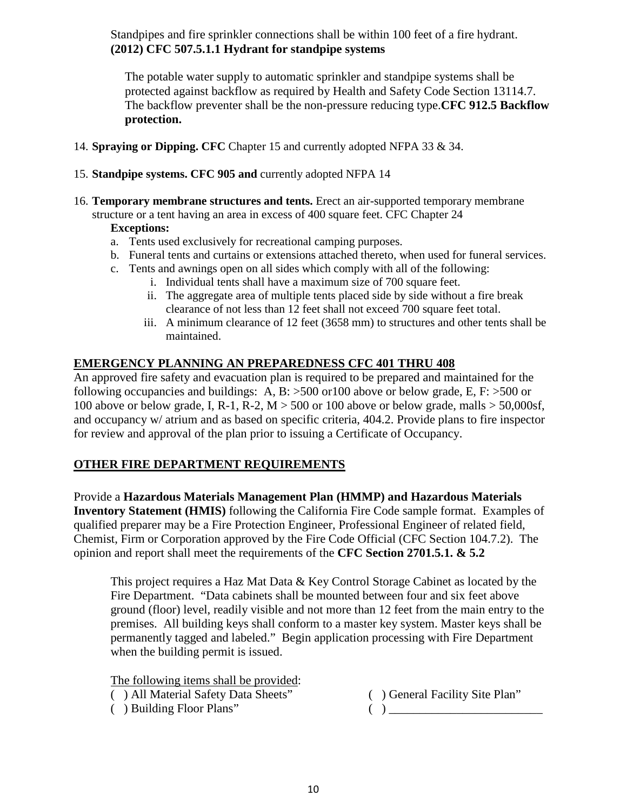Standpipes and fire sprinkler connections shall be within 100 feet of a fire hydrant. **(2012) CFC 507.5.1.1 Hydrant for standpipe systems**

The potable water supply to automatic sprinkler and standpipe systems shall be protected against backflow as required by Health and Safety Code Section 13114.7. The backflow preventer shall be the non-pressure reducing type.**CFC 912.5 Backflow protection.**

- 14. **Spraying or Dipping. CFC** Chapter 15 and currently adopted NFPA 33 & 34.
- 15. **Standpipe systems. CFC 905 and** currently adopted NFPA 14
- 16. **Temporary membrane structures and tents.** Erect an air-supported temporary membrane

structure or a tent having an area in excess of 400 square feet. CFC Chapter 24 **Exceptions:**

- a. Tents used exclusively for recreational camping purposes.
- b. Funeral tents and curtains or extensions attached thereto, when used for funeral services.
- c. Tents and awnings open on all sides which comply with all of the following:
	- i. Individual tents shall have a maximum size of 700 square feet.
		- ii. The aggregate area of multiple tents placed side by side without a fire break clearance of not less than 12 feet shall not exceed 700 square feet total.
	- iii. A minimum clearance of 12 feet (3658 mm) to structures and other tents shall be maintained.

### **EMERGENCY PLANNING AN PREPAREDNESS CFC 401 THRU 408**

An approved fire safety and evacuation plan is required to be prepared and maintained for the following occupancies and buildings: A, B:  $>500$  or 100 above or below grade, E, F:  $>500$  or 100 above or below grade, I, R-1, R-2,  $M > 500$  or 100 above or below grade, malls  $> 50,000$ sf, and occupancy w/ atrium and as based on specific criteria, 404.2. Provide plans to fire inspector for review and approval of the plan prior to issuing a Certificate of Occupancy.

### **OTHER FIRE DEPARTMENT REQUIREMENTS**

Provide a **Hazardous Materials Management Plan (HMMP) and Hazardous Materials Inventory Statement (HMIS)** following the California Fire Code sample format. Examples of qualified preparer may be a Fire Protection Engineer, Professional Engineer of related field, Chemist, Firm or Corporation approved by the Fire Code Official (CFC Section 104.7.2). The opinion and report shall meet the requirements of the **CFC Section 2701.5.1. & 5.2**

This project requires a Haz Mat Data & Key Control Storage Cabinet as located by the Fire Department. "Data cabinets shall be mounted between four and six feet above ground (floor) level, readily visible and not more than 12 feet from the main entry to the premises. All building keys shall conform to a master key system. Master keys shall be permanently tagged and labeled." Begin application processing with Fire Department when the building permit is issued.

The following items shall be provided:

- ( ) All Material Safety Data Sheets" ( ) General Facility Site Plan"
- $( )$  Building Floor Plans"  $( )$
- -